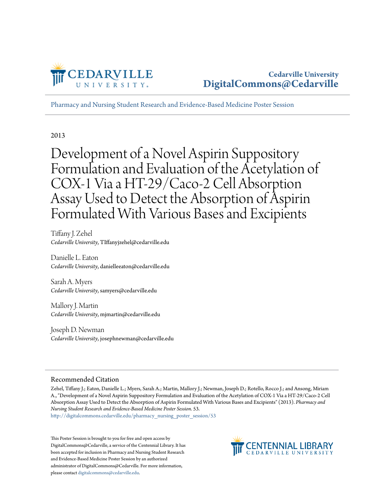

[Pharmacy and Nursing Student Research and Evidence-Based Medicine Poster Session](http://digitalcommons.cedarville.edu/pharmacy_nursing_poster_session?utm_source=digitalcommons.cedarville.edu%2Fpharmacy_nursing_poster_session%2F53&utm_medium=PDF&utm_campaign=PDFCoverPages)

2013

Development of a Novel Aspirin Suppository Formulation and Evaluation of the Acetylation of COX-1 Via a HT-29/Caco-2 Cell Absorption Assay Used to Detect the Absorption of Aspirin Formulated With Various Bases and Excipients

Tiffany J. Zehel *Cedarville University*, TIffanyjzehel@cedarville.edu

Danielle L. Eaton *Cedarville University*, danielleeaton@cedarville.edu

Sarah A. Myers *Cedarville University*, samyers@cedarville.edu

Mallory J. Martin *Cedarville University*, mjmartin@cedarville.edu

Joseph D. Newman *Cedarville University*, josephnewman@cedarville.edu

#### Recommended Citation

Zehel, Tiffany J.; Eaton, Danielle L.; Myers, Sarah A.; Martin, Mallory J.; Newman, Joseph D.; Rotello, Rocco J.; and Ansong, Miriam A., "Development of a Novel Aspirin Suppository Formulation and Evaluation of the Acetylation of COX-1 Via a HT-29/Caco-2 Cell Absorption Assay Used to Detect the Absorption of Aspirin Formulated With Various Bases and Excipients" (2013). *Pharmacy and Nursing Student Research and Evidence-Based Medicine Poster Session*. 53.

[http://digitalcommons.cedarville.edu/pharmacy\\_nursing\\_poster\\_session/53](http://digitalcommons.cedarville.edu/pharmacy_nursing_poster_session/53?utm_source=digitalcommons.cedarville.edu%2Fpharmacy_nursing_poster_session%2F53&utm_medium=PDF&utm_campaign=PDFCoverPages)

This Poster Session is brought to you for free and open access by DigitalCommons@Cedarville, a service of the Centennial Library. It has been accepted for inclusion in Pharmacy and Nursing Student Research and Evidence-Based Medicine Poster Session by an authorized administrator of DigitalCommons@Cedarville. For more information, please contact [digitalcommons@cedarville.edu.](mailto:digitalcommons@cedarville.edu)

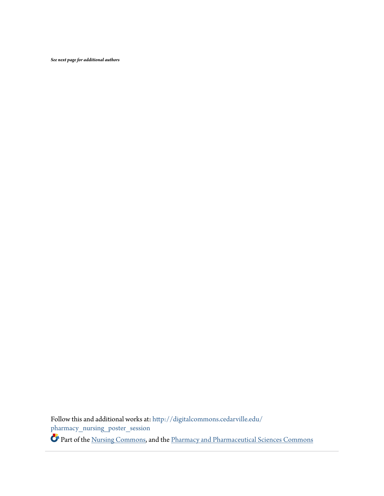*See next page for additional authors*

Follow this and additional works at: [http://digitalcommons.cedarville.edu/](http://digitalcommons.cedarville.edu/pharmacy_nursing_poster_session?utm_source=digitalcommons.cedarville.edu%2Fpharmacy_nursing_poster_session%2F53&utm_medium=PDF&utm_campaign=PDFCoverPages)  $\,$ [pharmacy\\_nursing\\_poster\\_session](http://digitalcommons.cedarville.edu/pharmacy_nursing_poster_session?utm_source=digitalcommons.cedarville.edu%2Fpharmacy_nursing_poster_session%2F53&utm_medium=PDF&utm_campaign=PDFCoverPages)

Part of the [Nursing Commons](http://network.bepress.com/hgg/discipline/718?utm_source=digitalcommons.cedarville.edu%2Fpharmacy_nursing_poster_session%2F53&utm_medium=PDF&utm_campaign=PDFCoverPages), and the [Pharmacy and Pharmaceutical Sciences Commons](http://network.bepress.com/hgg/discipline/731?utm_source=digitalcommons.cedarville.edu%2Fpharmacy_nursing_poster_session%2F53&utm_medium=PDF&utm_campaign=PDFCoverPages)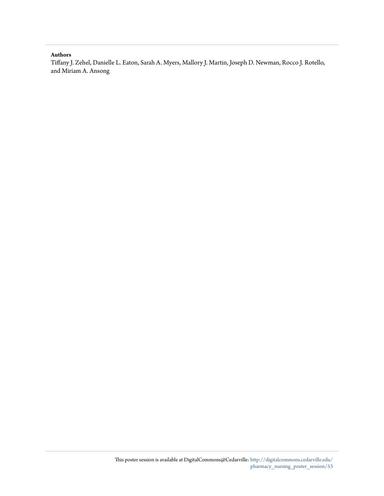#### **Authors**

Tiffany J. Zehel, Danielle L. Eaton, Sarah A. Myers, Mallory J. Martin, Joseph D. Newman, Rocco J. Rotello, and Miriam A. Ansong